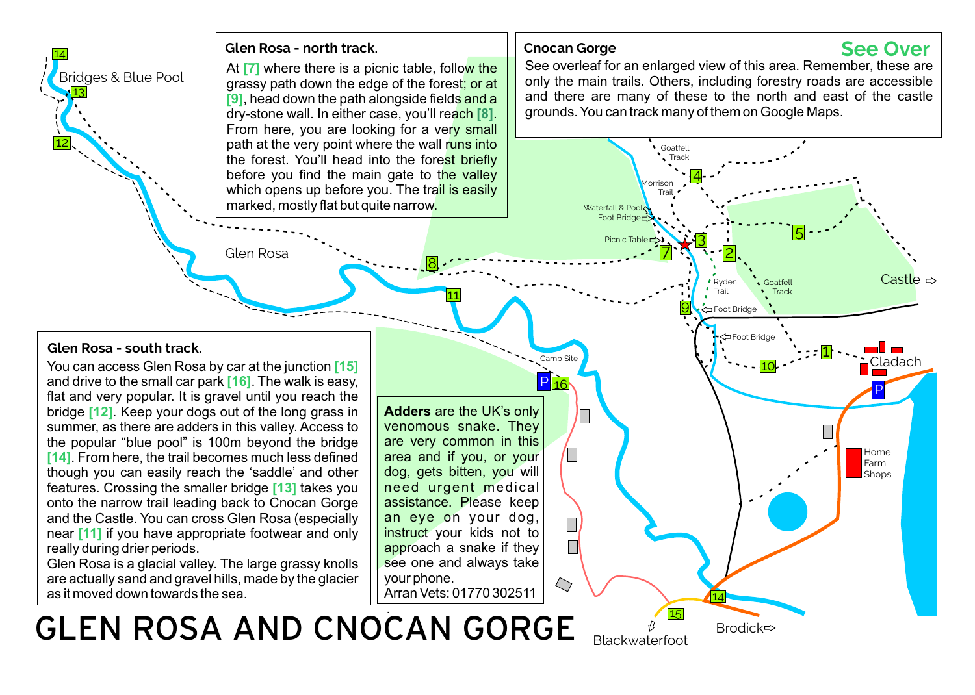